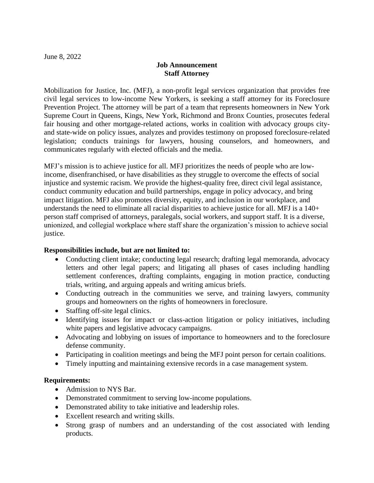## **Job Announcement Staff Attorney**

Mobilization for Justice, Inc. (MFJ), a non-profit legal services organization that provides free civil legal services to low-income New Yorkers, is seeking a staff attorney for its Foreclosure Prevention Project. The attorney will be part of a team that represents homeowners in New York Supreme Court in Queens, Kings, New York, Richmond and Bronx Counties, prosecutes federal fair housing and other mortgage-related actions, works in coalition with advocacy groups cityand state-wide on policy issues, analyzes and provides testimony on proposed foreclosure-related legislation; conducts trainings for lawyers, housing counselors, and homeowners, and communicates regularly with elected officials and the media.

MFJ's mission is to achieve justice for all. MFJ prioritizes the needs of people who are lowincome, disenfranchised, or have disabilities as they struggle to overcome the effects of social injustice and systemic racism. We provide the highest-quality free, direct civil legal assistance, conduct community education and build partnerships, engage in policy advocacy, and bring impact litigation. MFJ also promotes diversity, equity, and inclusion in our workplace, and understands the need to eliminate all racial disparities to achieve justice for all. MFJ is a 140+ person staff comprised of attorneys, paralegals, social workers, and support staff. It is a diverse, unionized, and collegial workplace where staff share the organization's mission to achieve social justice.

## **Responsibilities include, but are not limited to:**

- Conducting client intake; conducting legal research; drafting legal memoranda, advocacy letters and other legal papers; and litigating all phases of cases including handling settlement conferences, drafting complaints, engaging in motion practice, conducting trials, writing, and arguing appeals and writing amicus briefs.
- Conducting outreach in the communities we serve, and training lawyers, community groups and homeowners on the rights of homeowners in foreclosure.
- Staffing off-site legal clinics.
- Identifying issues for impact or class-action litigation or policy initiatives, including white papers and legislative advocacy campaigns.
- Advocating and lobbying on issues of importance to homeowners and to the foreclosure defense community.
- Participating in coalition meetings and being the MFJ point person for certain coalitions.
- Timely inputting and maintaining extensive records in a case management system.

## **Requirements:**

- Admission to NYS Bar.
- Demonstrated commitment to serving low-income populations.
- Demonstrated ability to take initiative and leadership roles.
- Excellent research and writing skills.
- Strong grasp of numbers and an understanding of the cost associated with lending products.